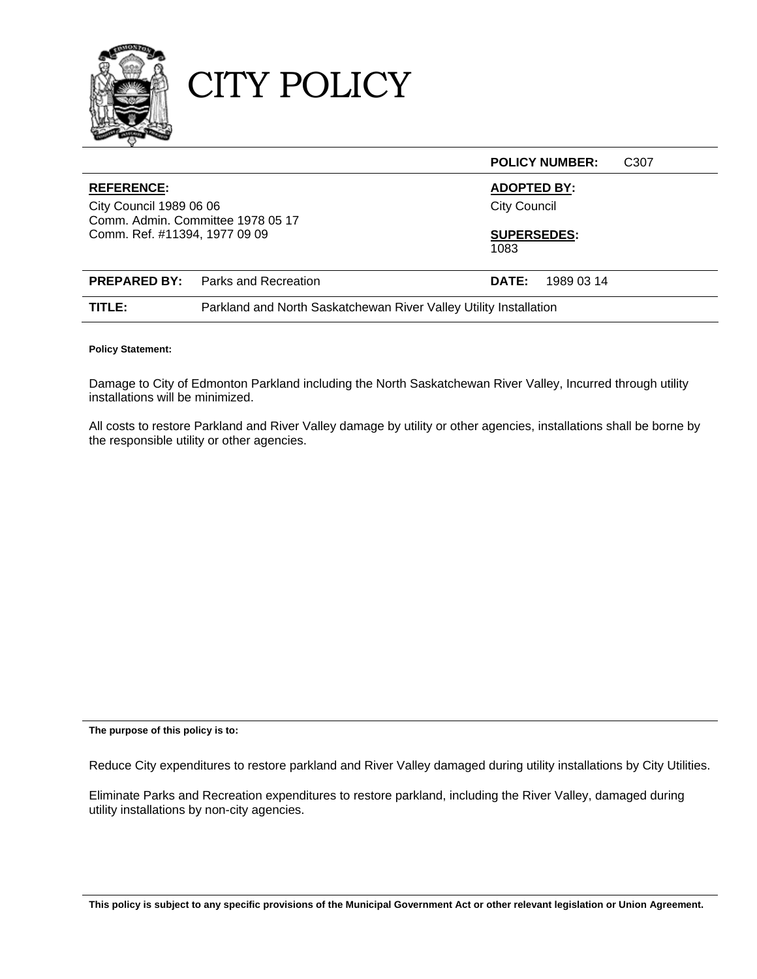

CITY POLICY

|                                                                                                                    |                                                                   |                                                                 | <b>POLICY NUMBER:</b> | C <sub>30</sub> 7 |
|--------------------------------------------------------------------------------------------------------------------|-------------------------------------------------------------------|-----------------------------------------------------------------|-----------------------|-------------------|
| <b>REFERENCE:</b><br>City Council 1989 06 06<br>Comm. Admin. Committee 1978 05 17<br>Comm. Ref. #11394, 1977 09 09 |                                                                   | <b>ADOPTED BY:</b><br><b>City Council</b><br><b>SUPERSEDES:</b> |                       |                   |
|                                                                                                                    |                                                                   | 1083                                                            |                       |                   |
|                                                                                                                    | <b>PREPARED BY:</b> Parks and Recreation                          | <b>DATE:</b>                                                    | 1989 03 14            |                   |
| TITLE:                                                                                                             | Parkland and North Saskatchewan River Valley Utility Installation |                                                                 |                       |                   |

#### **Policy Statement:**

Damage to City of Edmonton Parkland including the North Saskatchewan River Valley, Incurred through utility installations will be minimized.

All costs to restore Parkland and River Valley damage by utility or other agencies, installations shall be borne by the responsible utility or other agencies.

**The purpose of this policy is to:** 

Reduce City expenditures to restore parkland and River Valley damaged during utility installations by City Utilities.

Eliminate Parks and Recreation expenditures to restore parkland, including the River Valley, damaged during utility installations by non-city agencies.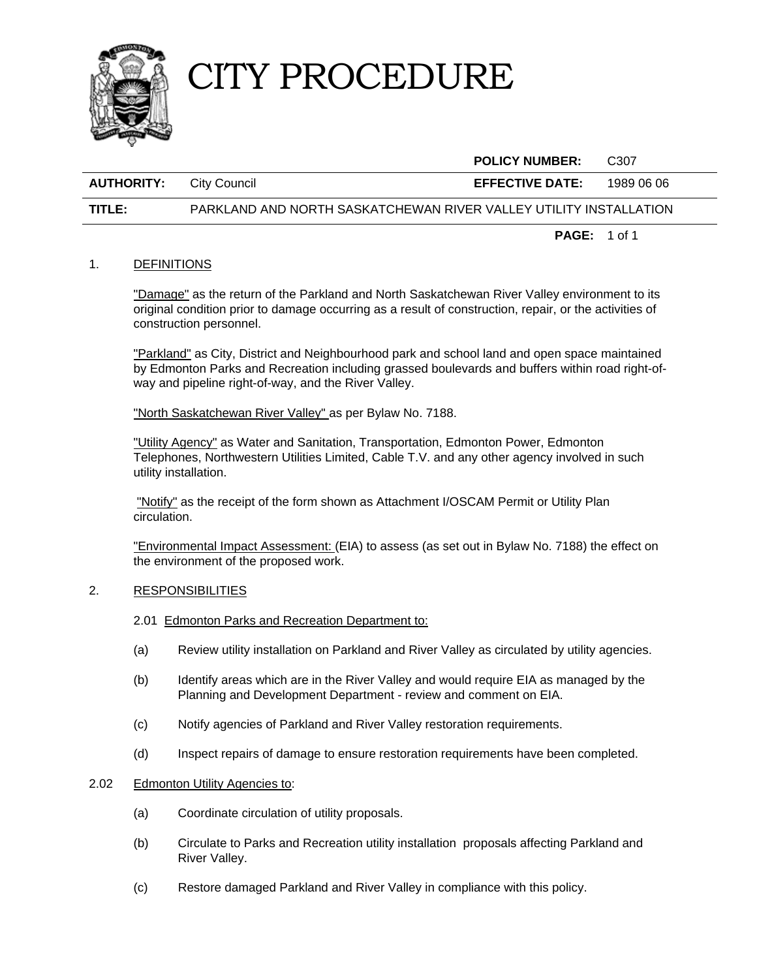

## CITY PROCEDURE

|                   |              | <b>POLICY NUMBER:</b>  | C307       |
|-------------------|--------------|------------------------|------------|
| <b>AUTHORITY:</b> | City Council | <b>EFFECTIVE DATE:</b> | 1989 06 06 |

### **TITLE:** PARKLAND AND NORTH SASKATCHEWAN RIVER VALLEY UTILITY INSTALLATION

**PAGE:** 1 of 1

### 1. DEFINITIONS

"Damage" as the return of the Parkland and North Saskatchewan River Valley environment to its original condition prior to damage occurring as a result of construction, repair, or the activities of construction personnel.

"Parkland" as City, District and Neighbourhood park and school land and open space maintained by Edmonton Parks and Recreation including grassed boulevards and buffers within road right-ofway and pipeline right-of-way, and the River Valley.

"North Saskatchewan River Valley" as per Bylaw No. 7188.

 "Utility Agency" as Water and Sanitation, Transportation, Edmonton Power, Edmonton Telephones, Northwestern Utilities Limited, Cable T.V. and any other agency involved in such utility installation.

 "Notify" as the receipt of the form shown as Attachment I/OSCAM Permit or Utility Plan circulation.

 "Environmental Impact Assessment: (EIA) to assess (as set out in Bylaw No. 7188) the effect on the environment of the proposed work.

### 2. RESPONSIBILITIES

- 2.01 Edmonton Parks and Recreation Department to:
- (a) Review utility installation on Parkland and River Valley as circulated by utility agencies.
- (b) Identify areas which are in the River Valley and would require EIA as managed by the Planning and Development Department - review and comment on EIA.
- (c) Notify agencies of Parkland and River Valley restoration requirements.
- (d) Inspect repairs of damage to ensure restoration requirements have been completed.

### 2.02 Edmonton Utility Agencies to:

- (a) Coordinate circulation of utility proposals.
- (b) Circulate to Parks and Recreation utility installation proposals affecting Parkland and River Valley.
- (c) Restore damaged Parkland and River Valley in compliance with this policy.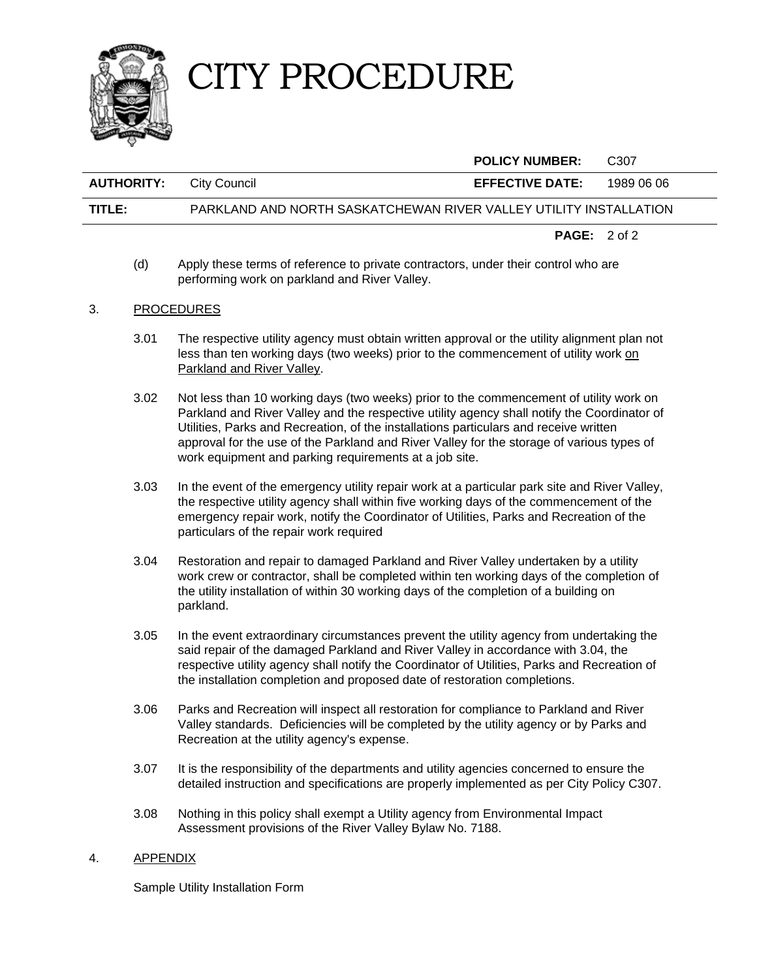

# CITY PROCEDURE

|                   |                                                                   | <b>POLICY NUMBER:</b>          | C <sub>307</sub> |
|-------------------|-------------------------------------------------------------------|--------------------------------|------------------|
| <b>AUTHORITY:</b> | City Council                                                      | <b>EFFECTIVE DATE:</b>         | 1989 06 06       |
| TITLE:            | PARKLAND AND NORTH SASKATCHEWAN RIVER VALLEY UTILITY INSTALLATION |                                |                  |
|                   |                                                                   | <b>PAGE:</b> $2 \text{ of } 2$ |                  |

(d) Apply these terms of reference to private contractors, under their control who are performing work on parkland and River Valley.

### 3. PROCEDURES

- 3.01 The respective utility agency must obtain written approval or the utility alignment plan not less than ten working days (two weeks) prior to the commencement of utility work on Parkland and River Valley.
- 3.02 Not less than 10 working days (two weeks) prior to the commencement of utility work on Parkland and River Valley and the respective utility agency shall notify the Coordinator of Utilities, Parks and Recreation, of the installations particulars and receive written approval for the use of the Parkland and River Valley for the storage of various types of work equipment and parking requirements at a job site.
- 3.03 In the event of the emergency utility repair work at a particular park site and River Valley, the respective utility agency shall within five working days of the commencement of the emergency repair work, notify the Coordinator of Utilities, Parks and Recreation of the particulars of the repair work required
- 3.04 Restoration and repair to damaged Parkland and River Valley undertaken by a utility work crew or contractor, shall be completed within ten working days of the completion of the utility installation of within 30 working days of the completion of a building on parkland.
- 3.05 In the event extraordinary circumstances prevent the utility agency from undertaking the said repair of the damaged Parkland and River Valley in accordance with 3.04, the respective utility agency shall notify the Coordinator of Utilities, Parks and Recreation of the installation completion and proposed date of restoration completions.
- 3.06 Parks and Recreation will inspect all restoration for compliance to Parkland and River Valley standards. Deficiencies will be completed by the utility agency or by Parks and Recreation at the utility agency's expense.
- 3.07 It is the responsibility of the departments and utility agencies concerned to ensure the detailed instruction and specifications are properly implemented as per City Policy C307.
- 3.08 Nothing in this policy shall exempt a Utility agency from Environmental Impact Assessment provisions of the River Valley Bylaw No. 7188.

### 4. APPENDIX

Sample Utility Installation Form